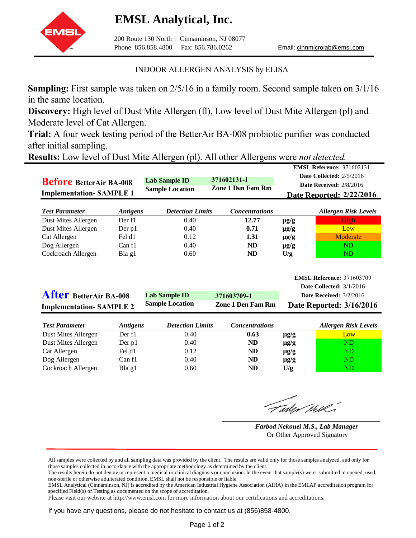## **EMSL Analytical, Inc.**



200 Route 130 North | Cinnaminson, NJ 08077 Phone: 856.858.4800 Fax: 856.786.0262 Email: cinnmicrolab@emsl.com

**E** *E*<sub>oforonce: 271602131</sub>

## INDOOR ALLERGEN ANALYSIS by ELISA

**Sampling:** First sample was taken on 2/5/16 in a family room. Second sample taken on 3/1/16 in the same location.

**Discovery:** High level of Dust Mite Allergen (fl), Low level of Dust Mite Allergen (pl) and Moderate level of Cat Allergen.

**Trial:** A four week testing period of the BetterAir BA-008 probiotic purifier was conducted after initial sampling.

**Results:** Low level of Dust Mite Allergen (pl). All other Allergens were *not detected.* 

| <b>Before BetterAir BA-008</b><br><b>Implementation-SAMPLE 1</b> |                 | <b>Lab Sample ID</b><br><b>Sample Location</b> | 371602131-1<br><b>Zone 1 Den Fam Rm</b> |           | <b>EWISE REIGREE:</b> 371002131<br>Date Collected: 2/5/2016<br>Date Received: 2/8/2016<br><b>Date Reported: 2/22/2016</b> |
|------------------------------------------------------------------|-----------------|------------------------------------------------|-----------------------------------------|-----------|---------------------------------------------------------------------------------------------------------------------------|
| <b>Test Parameter</b>                                            | <b>Antigens</b> | <b>Detection Limits</b>                        | <b>Concentrations</b>                   |           | <b>Allergen Risk Levels</b>                                                                                               |
| Dust Mites Allergen                                              | Der f1          | 0.40                                           | 12.77                                   | $\mu$ g/g | High                                                                                                                      |
| Dust Mites Allergen                                              | Der $p1$        | 0.40                                           | 0.71                                    | $\mu$ g/g | Low                                                                                                                       |
| Cat Allergen                                                     | Fel d1          | 0.12                                           | 1.31                                    | $\mu$ g/g | Moderate                                                                                                                  |
| Dog Allergen                                                     | Can f1          | 0.40                                           | ND                                      | $\mu$ g/g | ND                                                                                                                        |
| Cockroach Allergen                                               | Bla g1          | 0.60                                           | <b>ND</b>                               | U/g       | ND                                                                                                                        |
| <b>After BetterAir BA-008</b>                                    |                 | Lab Sample ID                                  | 371603709-1                             |           | <b>EMSL Reference: 371603709</b><br>Date Collected: 3/1/2016<br>Date Received: $3/2/2016$                                 |

| <b>Implementation-SAMPLE 2</b> |                        | <b>Sample Location</b>  | <b>Zone 1 Den Fam Rm</b> | Date Reported: 3/16/2016 |                             |
|--------------------------------|------------------------|-------------------------|--------------------------|--------------------------|-----------------------------|
| <b>Test Parameter</b>          | <i><b>Antigens</b></i> | <b>Detection Limits</b> | <b>Concentrations</b>    |                          | <b>Allergen Risk Levels</b> |
| Dust Mites Allergen            | Der f1                 | 0.40                    | 0.63                     | $\mu$ g/g                | Low                         |
| Dust Mites Allergen            | Der p1                 | 0.40                    | ND                       | $\mu$ g/g                | ND                          |
| Cat Allergen                   | Fel d1                 | 0.12                    | <b>ND</b>                | $\mu$ g/g                | ND                          |
| Dog Allergen                   | Can f1                 | 0.40                    | ND                       | $\mu$ g/g                | ND                          |
| Cockroach Allergen             | Bla g1                 | 0.60                    | ND                       | U/g                      | ND                          |

Farley Nell

*Farbod Nekouei M.S., Lab Manager* Or Other Approved Signatory

EMSL Analytical (Cinnaminson, NJ) is accredited by the American Industrial Hygiene Association (AIHA) in the EMLAP accreditation program for specified Field(s) of Testing as documented on the scope of accreditation.

Please visit our website at <http://www.emsl.com> for more information about our certifications and accreditations.

If you have any questions, please do not hesitate to contact us at (856)858-4800.

All samples were collected by and all sampling data was provided by the client. The results are valid only for those samples analyzed, and only for those samples collected in accordance with the appropriate methodology as determined by the client.

The results herein do not denote or represent a medical or clinical diagnosis or conclusion. In the event that sample(s) were submitted in opened, used, non-sterile or otherwise adulterated condition, EMSL shall not be responsible or liable.